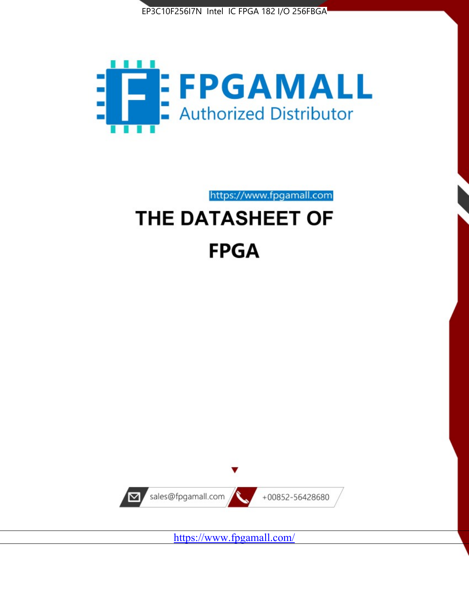



https://www.fpgamall.com THE DATASHEET OF

# **FPGA**



<https://www.fpgamall.com/>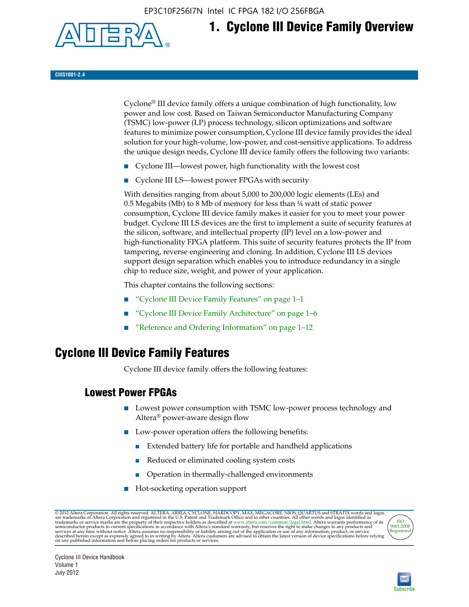EP3C10F256I7N Intel IC FPGA 182 I/O 256FBGA



## **1. Cyclone III Device Family Overview**

#### **CIII51001-2.4**

Cyclone® III device family offers a unique combination of high functionality, low power and low cost. Based on Taiwan Semiconductor Manufacturing Company (TSMC) low-power (LP) process technology, silicon optimizations and software features to minimize power consumption, Cyclone III device family provides the ideal solution for your high-volume, low-power, and cost-sensitive applications. To address the unique design needs, Cyclone III device family offers the following two variants:

- Cyclone III—lowest power, high functionality with the lowest cost
- Cyclone III LS—lowest power FPGAs with security

With densities ranging from about 5,000 to 200,000 logic elements (LEs) and 0.5 Megabits (Mb) to 8 Mb of memory for less than ¼ watt of static power consumption, Cyclone III device family makes it easier for you to meet your power budget. Cyclone III LS devices are the first to implement a suite of security features at the silicon, software, and intellectual property (IP) level on a low-power and high-functionality FPGA platform. This suite of security features protects the IP from tampering, reverse engineering and cloning. In addition, Cyclone III LS devices support design separation which enables you to introduce redundancy in a single chip to reduce size, weight, and power of your application.

This chapter contains the following sections:

- "Cyclone III Device Family Features" on page 1–1
- "Cyclone III Device Family Architecture" on page 1–6
- "Reference and Ordering Information" on page 1–12

## **Cyclone III Device Family Features**

Cyclone III device family offers the following features:

#### **Lowest Power FPGAs**

- Lowest power consumption with TSMC low-power process technology and Altera® power-aware design flow
- Low-power operation offers the following benefits:
	- Extended battery life for portable and handheld applications
	- Reduced or eliminated cooling system costs
	- Operation in thermally-challenged environments
- Hot-socketing operation support

@ 2012 Altera Corporation. All rights reserved. ALTERA, ARRIA, CYCLONE, HARDCOPY, MAX, MEGACORE, NIOS, QUARTUS and STRATIX words and logos are trademarks of Altera Corporation and registered in the U.S. Patent and Trademar



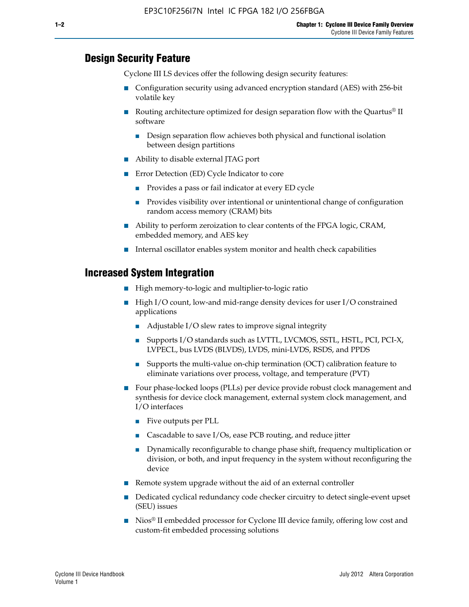#### **Design Security Feature**

Cyclone III LS devices offer the following design security features:

- Configuration security using advanced encryption standard (AES) with 256-bit volatile key
- **■** Routing architecture optimized for design separation flow with the Quartus<sup>®</sup> II software
	- Design separation flow achieves both physical and functional isolation between design partitions
- Ability to disable external JTAG port
- Error Detection (ED) Cycle Indicator to core
	- Provides a pass or fail indicator at every ED cycle
	- Provides visibility over intentional or unintentional change of configuration random access memory (CRAM) bits
- Ability to perform zeroization to clear contents of the FPGA logic, CRAM, embedded memory, and AES key
- Internal oscillator enables system monitor and health check capabilities

#### **Increased System Integration**

- High memory-to-logic and multiplier-to-logic ratio
- High I/O count, low-and mid-range density devices for user I/O constrained applications
	- Adjustable I/O slew rates to improve signal integrity
	- Supports I/O standards such as LVTTL, LVCMOS, SSTL, HSTL, PCI, PCI-X, LVPECL, bus LVDS (BLVDS), LVDS, mini-LVDS, RSDS, and PPDS
	- Supports the multi-value on-chip termination (OCT) calibration feature to eliminate variations over process, voltage, and temperature (PVT)
- Four phase-locked loops (PLLs) per device provide robust clock management and synthesis for device clock management, external system clock management, and I/O interfaces
	- Five outputs per PLL
	- Cascadable to save I/Os, ease PCB routing, and reduce jitter
	- Dynamically reconfigurable to change phase shift, frequency multiplication or division, or both, and input frequency in the system without reconfiguring the device
- Remote system upgrade without the aid of an external controller
- Dedicated cyclical redundancy code checker circuitry to detect single-event upset (SEU) issues
- Nios<sup>®</sup> II embedded processor for Cyclone III device family, offering low cost and custom-fit embedded processing solutions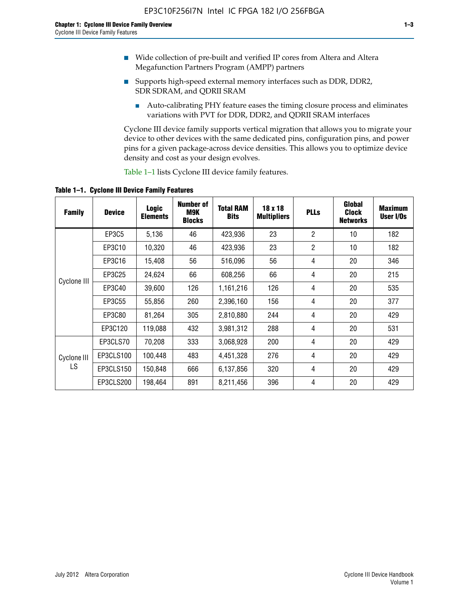- Wide collection of pre-built and verified IP cores from Altera and Altera Megafunction Partners Program (AMPP) partners
- Supports high-speed external memory interfaces such as DDR, DDR2, SDR SDRAM, and QDRII SRAM
	- Auto-calibrating PHY feature eases the timing closure process and eliminates variations with PVT for DDR, DDR2, and QDRII SRAM interfaces

Cyclone III device family supports vertical migration that allows you to migrate your device to other devices with the same dedicated pins, configuration pins, and power pins for a given package-across device densities. This allows you to optimize device density and cost as your design evolves.

Table 1–1 lists Cyclone III device family features.

**Table 1–1. Cyclone III Device Family Features**

| <b>Family</b>     | <b>Device</b> | <b>Logic</b><br><b>Elements</b> | Number of<br>M9K<br><b>Blocks</b> | <b>Total RAM</b><br><b>Bits</b> | 18 x 18<br><b>Multipliers</b> | <b>PLLs</b>    | Global<br><b>Clock</b><br><b>Networks</b> | <b>Maximum</b><br>User I/Os |
|-------------------|---------------|---------------------------------|-----------------------------------|---------------------------------|-------------------------------|----------------|-------------------------------------------|-----------------------------|
|                   | <b>EP3C5</b>  | 5,136                           | 46                                | 423,936                         | 23                            | $\overline{2}$ | 10                                        | 182                         |
|                   | EP3C10        | 10,320                          | 46                                | 423,936                         | 23                            | $\overline{2}$ | 10                                        | 182                         |
|                   | EP3C16        | 15,408                          | 56                                | 516,096                         | 56                            | 4              | 20                                        | 346                         |
|                   | EP3C25        | 24,624                          | 66                                | 608,256                         | 66                            | 4              | 20                                        | 215                         |
| Cyclone III       | EP3C40        | 39,600                          | 126                               | 1,161,216                       | 126                           | 4              | 20                                        | 535                         |
|                   | EP3C55        | 55,856                          | 260                               | 2,396,160                       | 156                           | 4              | 20                                        | 377                         |
|                   | EP3C80        | 81,264                          | 305                               | 2,810,880                       | 244                           | 4              | 20                                        | 429                         |
|                   | EP3C120       | 119,088                         | 432                               | 3,981,312                       | 288                           | 4              | 20                                        | 531                         |
|                   | EP3CLS70      | 70,208                          | 333                               | 3,068,928                       | 200                           | 4              | 20                                        | 429                         |
| Cyclone III<br>LS | EP3CLS100     | 100,448                         | 483                               | 4,451,328                       | 276                           | 4              | 20                                        | 429                         |
|                   | EP3CLS150     | 150,848                         | 666                               | 6,137,856                       | 320                           | 4              | 20                                        | 429                         |
|                   | EP3CLS200     | 198,464                         | 891                               | 8,211,456                       | 396                           | 4              | 20                                        | 429                         |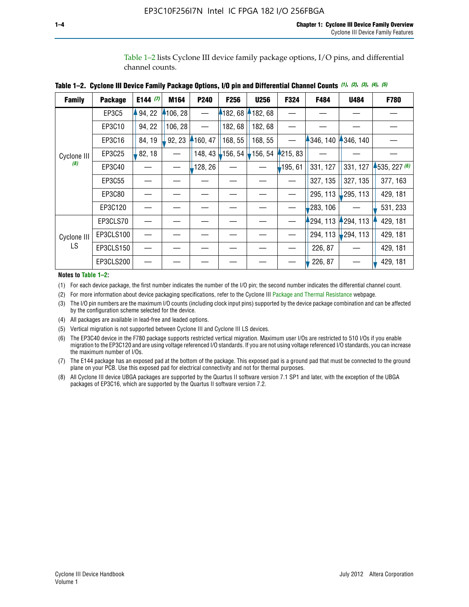Table 1–2 lists Cyclone III device family package options, I/O pins, and differential channel counts.

| <b>Family</b>      | <b>Package</b> | E144 $(7)$ | M164     | <b>P240</b> | F256    | <b>U256</b>           | F324       | F484     | <b>U484</b>            | F780           |
|--------------------|----------------|------------|----------|-------------|---------|-----------------------|------------|----------|------------------------|----------------|
|                    | EP3C5          | 94, 22     | 4106, 28 |             | 4182,68 | 182, 68               |            |          |                        |                |
|                    | EP3C10         | 94, 22     | 106, 28  |             | 182, 68 | 182, 68               |            |          |                        |                |
|                    | EP3C16         | 84, 19     | 92, 23   | 160, 47     | 168, 55 | 168, 55               |            | 346, 140 | 4346, 140              |                |
| Cyclone III        | EP3C25         | 82, 18     |          | 148, 43     | 156, 54 | $\frac{1}{2}$ 156, 54 | 4215, 83   |          |                        |                |
| (8)                | EP3C40         |            |          | ,128, 26    |         |                       | $-195, 61$ | 331, 127 | 331, 127               | $-535, 227(6)$ |
|                    | EP3C55         |            |          |             |         |                       |            | 327, 135 | 327, 135               | 377, 163       |
|                    | EP3C80         |            |          |             |         |                       |            | 295, 113 | 295, 113               | 429, 181       |
|                    | EP3C120        |            |          |             |         |                       |            | 283, 106 |                        | 531, 233       |
|                    | EP3CLS70       |            |          |             |         |                       |            | 294, 113 | 294, 113               | 429, 181       |
| Cyclone III<br>LS. | EP3CLS100      |            |          |             |         |                       |            | 294, 113 | $\frac{1}{2}$ 294, 113 | 429, 181       |
|                    | EP3CLS150      |            |          |             |         |                       |            | 226, 87  |                        | 429, 181       |
|                    | EP3CLS200      |            |          |             |         |                       |            | 226, 87  |                        | 429, 181       |

**Table 1–2. Cyclone III Device Family Package Options, I/O pin and Differential Channel Counts** *(1)***,** *(2)***,** *(3)***,** *(4)***,** *(5)*

**Notes to Table 1–2:**

(1) For each device package, the first number indicates the number of the I/O pin; the second number indicates the differential channel count.

(2) For more information about device packaging specifications, refer to the Cyclone III [Package and Thermal Resistance](http://www.altera.com/support/devices/packaging/specifications/pkg-pin/dev-package-listing.jsp?device=Cyclone_III) webpage.

(3) The I/O pin numbers are the maximum I/O counts (including clock input pins) supported by the device package combination and can be affected by the configuration scheme selected for the device.

(4) All packages are available in lead-free and leaded options.

(5) Vertical migration is not supported between Cyclone III and Cyclone III LS devices.

(6) The EP3C40 device in the F780 package supports restricted vertical migration. Maximum user I/Os are restricted to 510 I/Os if you enable migration to the EP3C120 and are using voltage referenced I/O standards. If you are not using voltage referenced I/O standards, you can increase the maximum number of I/Os.

(7) The E144 package has an exposed pad at the bottom of the package. This exposed pad is a ground pad that must be connected to the ground plane on your PCB. Use this exposed pad for electrical connectivity and not for thermal purposes.

(8) All Cyclone III device UBGA packages are supported by the Quartus II software version 7.1 SP1 and later, with the exception of the UBGA packages of EP3C16, which are supported by the Quartus II software version 7.2.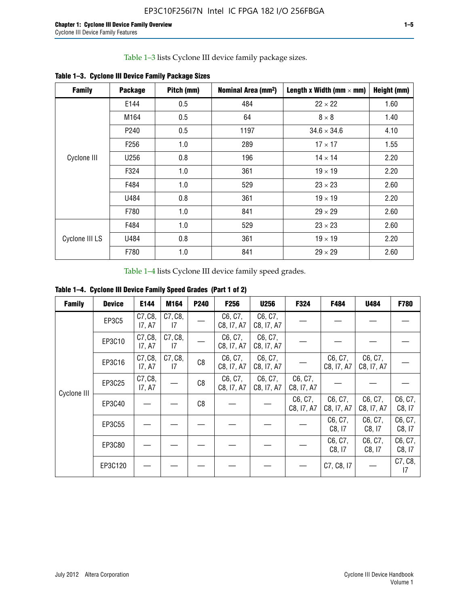Table 1–3 lists Cyclone III device family package sizes.

| <b>Family</b>  | <b>Package</b>   | Pitch (mm) | Nominal Area (mm <sup>2</sup> ) | Length x Width (mm $\times$ mm) | Height (mm) |
|----------------|------------------|------------|---------------------------------|---------------------------------|-------------|
|                | E144             | 0.5        | 484                             | $22 \times 22$                  | 1.60        |
|                | M164             | 0.5        | 64                              | $8 \times 8$                    | 1.40        |
|                | P <sub>240</sub> | 0.5        | 1197                            | $34.6 \times 34.6$              | 4.10        |
|                | F <sub>256</sub> | 1.0        | 289                             | $17 \times 17$                  | 1.55        |
| Cyclone III    | U256             | 0.8        | 196                             | $14 \times 14$                  | 2.20        |
|                | F324             | 1.0        | 361                             | $19 \times 19$                  | 2.20        |
|                | F484             | 1.0        | 529                             | $23 \times 23$                  | 2.60        |
|                | U484             | 0.8        | 361                             | $19 \times 19$                  | 2.20        |
|                | F780             | 1.0        | 841                             | $29 \times 29$                  | 2.60        |
|                | F484             | 1.0        | 529                             | $23 \times 23$                  | 2.60        |
| Cyclone III LS | U484             | 0.8        | 361                             | $19 \times 19$                  | 2.20        |
|                | F780             | 1.0        | 841                             | $29 \times 29$                  | 2.60        |

**Table 1–3. Cyclone III Device Family Package Sizes**

Table 1–4 lists Cyclone III device family speed grades.

**Table 1–4. Cyclone III Device Family Speed Grades (Part 1 of 2)**

| <b>Family</b> | <b>Device</b> | E144              | M164          | <b>P240</b> | F <sub>256</sub>      | <b>U256</b>           | F324                  | F484                  | U484                  | <b>F780</b>       |
|---------------|---------------|-------------------|---------------|-------------|-----------------------|-----------------------|-----------------------|-----------------------|-----------------------|-------------------|
|               | <b>EP3C5</b>  | C7, C8,<br>17, A7 | C7, C8,<br>17 |             | C6, C7,<br>C8, I7, A7 | C6, C7,<br>C8, I7, A7 |                       |                       |                       |                   |
|               | EP3C10        | C7, C8,<br>17, A7 | C7, C8,<br>17 |             | C6, C7,<br>C8, I7, A7 | C6, C7,<br>C8, I7, A7 |                       |                       |                       |                   |
|               | EP3C16        | C7, C8,<br>17, A7 | C7, C8,<br>17 | C8          | C6, C7,<br>C8, I7, A7 | C6, C7,<br>C8, I7, A7 |                       | C6, C7,<br>C8, I7, A7 | C6, C7,<br>C8, I7, A7 |                   |
| Cyclone III   | EP3C25        | C7, C8,<br>17, A7 |               | C8          | C6, C7,<br>C8, I7, A7 | C6, C7,<br>C8, I7, A7 | C6, C7,<br>C8, I7, A7 |                       |                       |                   |
|               | EP3C40        |                   |               | C8          |                       |                       | C6, C7,<br>C8, I7, A7 | C6, C7,<br>C8, I7, A7 | C6, C7,<br>C8, I7, A7 | C6, C7,<br>C8, 17 |
|               | EP3C55        |                   |               |             |                       |                       |                       | C6, C7,<br>C8, 17     | C6, C7,<br>C8, 17     | C6, C7,<br>C8, 17 |
|               | EP3C80        |                   |               |             |                       |                       |                       | C6, C7,<br>C8, 17     | C6, C7,<br>C8, 17     | C6, C7,<br>C8, 17 |
|               | EP3C120       |                   |               |             |                       |                       |                       | C7, C8, I7            |                       | C7, C8,<br>17     |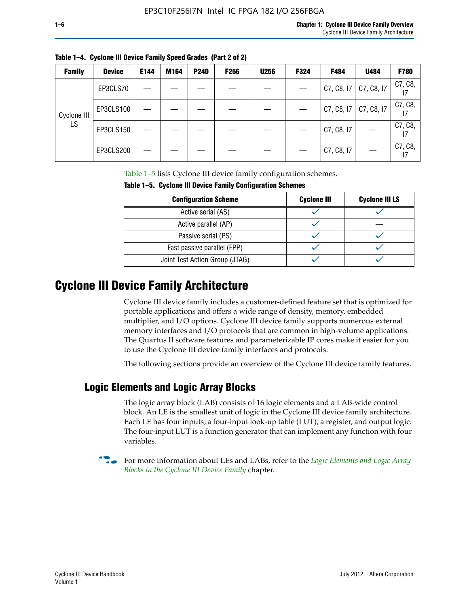| <b>Family</b> | <b>Device</b> | E144 | M164 | P240 | <b>F256</b> | <b>U256</b> | F324 | F484       | U484       | F780          |
|---------------|---------------|------|------|------|-------------|-------------|------|------------|------------|---------------|
|               | EP3CLS70      |      |      |      |             |             |      | C7, C8, 17 | C7, C8, I7 | C7, C8,       |
| Cyclone III   | EP3CLS100     |      |      |      |             |             |      | C7, C8, 17 | C7, C8, I7 | C7, C8,       |
| LS            | EP3CLS150     |      |      |      |             |             |      | C7, C8, I7 |            | C7, C8,<br>17 |
|               | EP3CLS200     |      |      |      |             |             |      | C7, C8, I7 |            | C7, C8,       |

**Table 1–4. Cyclone III Device Family Speed Grades (Part 2 of 2)**

Table 1–5 lists Cyclone III device family configuration schemes.

| Taple 1–5. Gyclone III Device Family Configuration Schemes |                    |                       |  |  |
|------------------------------------------------------------|--------------------|-----------------------|--|--|
| <b>Configuration Scheme</b>                                | <b>Cyclone III</b> | <b>Cyclone III LS</b> |  |  |
| Active serial (AS)                                         |                    |                       |  |  |
| Active parallel (AP)                                       |                    |                       |  |  |
| Passive serial (PS)                                        |                    |                       |  |  |
| Fast passive parallel (FPP)                                |                    |                       |  |  |
| Joint Test Action Group (JTAG)                             |                    |                       |  |  |

**Table 1–5. Cyclone III Device Family Configuration Schemes**

## **Cyclone III Device Family Architecture**

Cyclone III device family includes a customer-defined feature set that is optimized for portable applications and offers a wide range of density, memory, embedded multiplier, and I/O options. Cyclone III device family supports numerous external memory interfaces and I/O protocols that are common in high-volume applications. The Quartus II software features and parameterizable IP cores make it easier for you to use the Cyclone III device family interfaces and protocols.

The following sections provide an overview of the Cyclone III device family features.

#### **Logic Elements and Logic Array Blocks**

The logic array block (LAB) consists of 16 logic elements and a LAB-wide control block. An LE is the smallest unit of logic in the Cyclone III device family architecture. Each LE has four inputs, a four-input look-up table (LUT), a register, and output logic. The four-input LUT is a function generator that can implement any function with four variables.

f For more information about LEs and LABs, refer to the *[Logic Elements and Logic Array](http://www.altera.com/literature/hb/cyc3/cyc3_ciii51002.pdf)  [Blocks in the Cyclone III Device Family](http://www.altera.com/literature/hb/cyc3/cyc3_ciii51002.pdf)* chapter.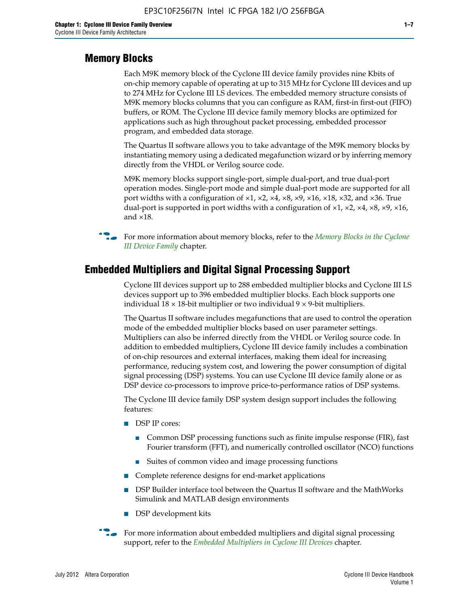#### **Memory Blocks**

Each M9K memory block of the Cyclone III device family provides nine Kbits of on-chip memory capable of operating at up to 315 MHz for Cyclone III devices and up to 274 MHz for Cyclone III LS devices. The embedded memory structure consists of M9K memory blocks columns that you can configure as RAM, first-in first-out (FIFO) buffers, or ROM. The Cyclone III device family memory blocks are optimized for applications such as high throughout packet processing, embedded processor program, and embedded data storage.

The Quartus II software allows you to take advantage of the M9K memory blocks by instantiating memory using a dedicated megafunction wizard or by inferring memory directly from the VHDL or Verilog source code.

M9K memory blocks support single-port, simple dual-port, and true dual-port operation modes. Single-port mode and simple dual-port mode are supported for all port widths with a configuration of  $\times1$ ,  $\times2$ ,  $\times4$ ,  $\times8$ ,  $\times9$ ,  $\times16$ ,  $\times18$ ,  $\times32$ , and  $\times36$ . True dual-port is supported in port widths with a configuration of  $\times$ 1,  $\times$ 2,  $\times$ 4,  $\times$ 8,  $\times$ 9,  $\times$ 16, and ×18.



**For more information about memory blocks, refer to the** *Memory Blocks in the Cyclone [III Device Family](http://www.altera.com/literature/hb/cyc3/cyc3_ciii51004.pdf)* chapter.

#### **Embedded Multipliers and Digital Signal Processing Support**

Cyclone III devices support up to 288 embedded multiplier blocks and Cyclone III LS devices support up to 396 embedded multiplier blocks. Each block supports one individual  $18 \times 18$ -bit multiplier or two individual  $9 \times 9$ -bit multipliers.

The Quartus II software includes megafunctions that are used to control the operation mode of the embedded multiplier blocks based on user parameter settings. Multipliers can also be inferred directly from the VHDL or Verilog source code. In addition to embedded multipliers, Cyclone III device family includes a combination of on-chip resources and external interfaces, making them ideal for increasing performance, reducing system cost, and lowering the power consumption of digital signal processing (DSP) systems. You can use Cyclone III device family alone or as DSP device co-processors to improve price-to-performance ratios of DSP systems.

The Cyclone III device family DSP system design support includes the following features:

- DSP IP cores:
	- Common DSP processing functions such as finite impulse response (FIR), fast Fourier transform (FFT), and numerically controlled oscillator (NCO) functions
	- Suites of common video and image processing functions
- Complete reference designs for end-market applications
- DSP Builder interface tool between the Quartus II software and the MathWorks Simulink and MATLAB design environments
- DSP development kits
- For more information about embedded multipliers and digital signal processing support, refer to the *[Embedded Multipliers in Cyclone III Devices](http://www.altera.com/literature/hb/cyc3/cyc3_ciii51005.pdf)* chapter.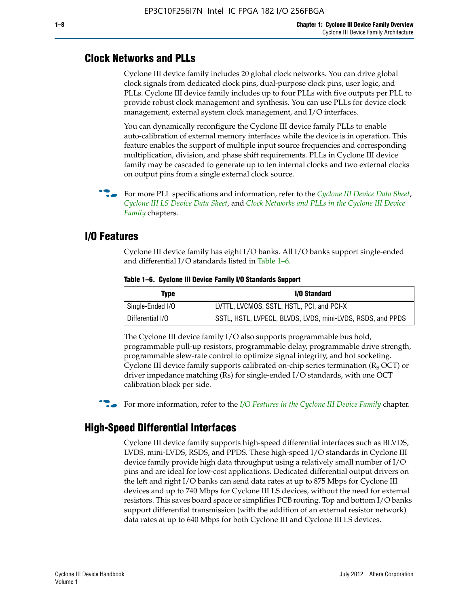#### **Clock Networks and PLLs**

Cyclone III device family includes 20 global clock networks. You can drive global clock signals from dedicated clock pins, dual-purpose clock pins, user logic, and PLLs. Cyclone III device family includes up to four PLLs with five outputs per PLL to provide robust clock management and synthesis. You can use PLLs for device clock management, external system clock management, and I/O interfaces.

You can dynamically reconfigure the Cyclone III device family PLLs to enable auto-calibration of external memory interfaces while the device is in operation. This feature enables the support of multiple input source frequencies and corresponding multiplication, division, and phase shift requirements. PLLs in Cyclone III device family may be cascaded to generate up to ten internal clocks and two external clocks on output pins from a single external clock source.

**For more PLL specifications and information, refer to the** *[Cyclone III Device Data Sheet](http://www.altera.com/literature/hb/cyc3/cyc3_ciii52001.pdf)***,** *[Cyclone III LS Device Data Sheet](http://www.altera.com/literature/hb/cyc3/cyc3_ciii52002.pdf)*, and *[Clock Networks and PLLs in the Cyclone III Device](http://www.altera.com/literature/hb/cyc3/cyc3_ciii51006.pdf)  [Family](http://www.altera.com/literature/hb/cyc3/cyc3_ciii51006.pdf)* chapters.

#### **I/O Features**

Cyclone III device family has eight I/O banks. All I/O banks support single-ended and differential I/O standards listed in Table 1–6.

| Type             | <b>I/O Standard</b>                                        |
|------------------|------------------------------------------------------------|
| Single-Ended I/O | LVTTL, LVCMOS, SSTL, HSTL, PCI, and PCI-X                  |
| Differential I/O | SSTL, HSTL, LVPECL, BLVDS, LVDS, mini-LVDS, RSDS, and PPDS |

**Table 1–6. Cyclone III Device Family I/O Standards Support** 

The Cyclone III device family I/O also supports programmable bus hold, programmable pull-up resistors, programmable delay, programmable drive strength, programmable slew-rate control to optimize signal integrity, and hot socketing. Cyclone III device family supports calibrated on-chip series termination ( $R_S$  OCT) or driver impedance matching (Rs) for single-ended I/O standards, with one OCT calibration block per side.

For more information, refer to the *[I/O Features in the Cyclone III Device Family](http://www.altera.com/literature/hb/cyc3/cyc3_ciii51007.pdf)* chapter.

#### **High-Speed Differential Interfaces**

Cyclone III device family supports high-speed differential interfaces such as BLVDS, LVDS, mini-LVDS, RSDS, and PPDS. These high-speed I/O standards in Cyclone III device family provide high data throughput using a relatively small number of I/O pins and are ideal for low-cost applications. Dedicated differential output drivers on the left and right I/O banks can send data rates at up to 875 Mbps for Cyclone III devices and up to 740 Mbps for Cyclone III LS devices, without the need for external resistors. This saves board space or simplifies PCB routing. Top and bottom I/O banks support differential transmission (with the addition of an external resistor network) data rates at up to 640 Mbps for both Cyclone III and Cyclone III LS devices.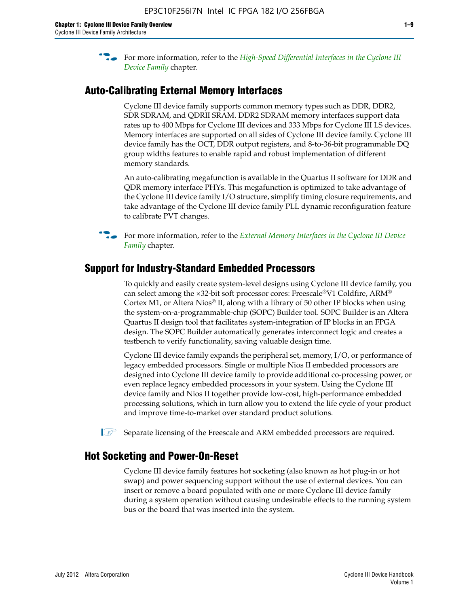**For more information, refer to the** *High-Speed Differential Interfaces in the Cyclone III* $\overline{a}$ *[Device Family](http://www.altera.com/literature/hb/cyc3/cyc3_ciii51008.pdf)* chapter.

#### **Auto-Calibrating External Memory Interfaces**

Cyclone III device family supports common memory types such as DDR, DDR2, SDR SDRAM, and QDRII SRAM. DDR2 SDRAM memory interfaces support data rates up to 400 Mbps for Cyclone III devices and 333 Mbps for Cyclone III LS devices. Memory interfaces are supported on all sides of Cyclone III device family. Cyclone III device family has the OCT, DDR output registers, and 8-to-36-bit programmable DQ group widths features to enable rapid and robust implementation of different memory standards.

An auto-calibrating megafunction is available in the Quartus II software for DDR and QDR memory interface PHYs. This megafunction is optimized to take advantage of the Cyclone III device family I/O structure, simplify timing closure requirements, and take advantage of the Cyclone III device family PLL dynamic reconfiguration feature to calibrate PVT changes.

**For more information, refer to the** *External Memory Interfaces in the Cyclone III Device* $\overline{\phantom{a}}$ *[Family](http://www.altera.com/literature/hb/cyc3/cyc3_ciii51009.pdf)* chapter.

#### **Support for Industry-Standard Embedded Processors**

To quickly and easily create system-level designs using Cyclone III device family, you can select among the ×32-bit soft processor cores: Freescale®V1 Coldfire, ARM® Cortex M1, or Altera Nios® II, along with a library of 50 other IP blocks when using the system-on-a-programmable-chip (SOPC) Builder tool. SOPC Builder is an Altera Quartus II design tool that facilitates system-integration of IP blocks in an FPGA design. The SOPC Builder automatically generates interconnect logic and creates a testbench to verify functionality, saving valuable design time.

Cyclone III device family expands the peripheral set, memory, I/O, or performance of legacy embedded processors. Single or multiple Nios II embedded processors are designed into Cyclone III device family to provide additional co-processing power, or even replace legacy embedded processors in your system. Using the Cyclone III device family and Nios II together provide low-cost, high-performance embedded processing solutions, which in turn allow you to extend the life cycle of your product and improve time-to-market over standard product solutions.

 $\mathbb{I}$  Separate licensing of the Freescale and ARM embedded processors are required.

#### **Hot Socketing and Power-On-Reset**

Cyclone III device family features hot socketing (also known as hot plug-in or hot swap) and power sequencing support without the use of external devices. You can insert or remove a board populated with one or more Cyclone III device family during a system operation without causing undesirable effects to the running system bus or the board that was inserted into the system.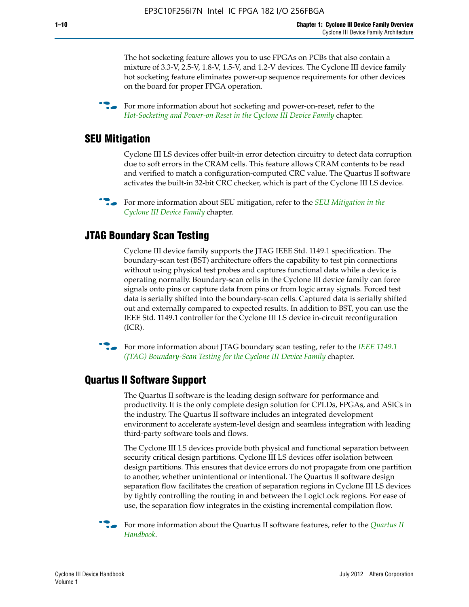The hot socketing feature allows you to use FPGAs on PCBs that also contain a mixture of 3.3-V, 2.5-V, 1.8-V, 1.5-V, and 1.2-V devices. The Cyclone III device family hot socketing feature eliminates power-up sequence requirements for other devices on the board for proper FPGA operation.

For more information about hot socketing and power-on-reset, refer to the *[Hot-Socketing and Power-on Reset in the Cyclone III Device Family](http://www.altera.com/literature/hb/cyc3/cyc3_ciii51011.pdf)* chapter.

#### **SEU Mitigation**

Cyclone III LS devices offer built-in error detection circuitry to detect data corruption due to soft errors in the CRAM cells. This feature allows CRAM contents to be read and verified to match a configuration-computed CRC value. The Quartus II software activates the built-in 32-bit CRC checker, which is part of the Cyclone III LS device.

**For more information about SEU mitigation, refer to the** *SEU Mitigation in the [Cyclone III Device Family](http://www.altera.com/literature/hb/cyc3/cyc3_ciii51013.pdf)* chapter.

#### **JTAG Boundary Scan Testing**

Cyclone III device family supports the JTAG IEEE Std. 1149.1 specification. The boundary-scan test (BST) architecture offers the capability to test pin connections without using physical test probes and captures functional data while a device is operating normally. Boundary-scan cells in the Cyclone III device family can force signals onto pins or capture data from pins or from logic array signals. Forced test data is serially shifted into the boundary-scan cells. Captured data is serially shifted out and externally compared to expected results. In addition to BST, you can use the IEEE Std. 1149.1 controller for the Cyclone III LS device in-circuit reconfiguration (ICR).

**f f**or more information about JTAG boundary scan testing, refer to the *IEEE* 1149.1 *[\(JTAG\) Boundary-Scan Testing for the Cyclone III Device Family](http://www.altera.com/literature/hb/cyc3/cyc3_ciii51014.pdf)* chapter.

#### **Quartus II Software Support**

The Quartus II software is the leading design software for performance and productivity. It is the only complete design solution for CPLDs, FPGAs, and ASICs in the industry. The Quartus II software includes an integrated development environment to accelerate system-level design and seamless integration with leading third-party software tools and flows.

The Cyclone III LS devices provide both physical and functional separation between security critical design partitions. Cyclone III LS devices offer isolation between design partitions. This ensures that device errors do not propagate from one partition to another, whether unintentional or intentional. The Quartus II software design separation flow facilitates the creation of separation regions in Cyclone III LS devices by tightly controlling the routing in and between the LogicLock regions. For ease of use, the separation flow integrates in the existing incremental compilation flow.

f For more information about the Quartus II software features, refer to the *[Quartus II](http://www.altera.com/literature/hb/qts/quartusii_handbook.pdf)  [Handbook](http://www.altera.com/literature/hb/qts/quartusii_handbook.pdf)*.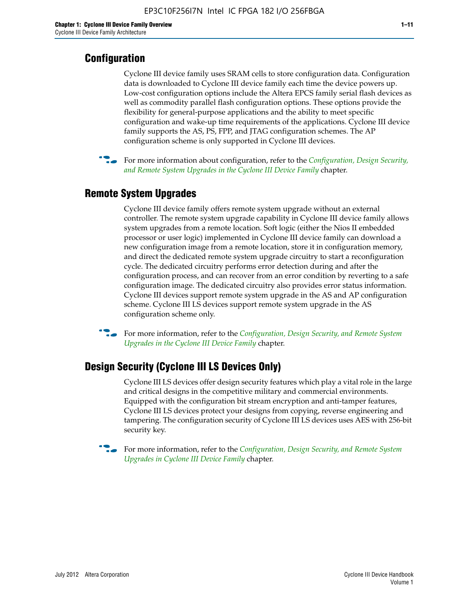### **Configuration**

Cyclone III device family uses SRAM cells to store configuration data. Configuration data is downloaded to Cyclone III device family each time the device powers up. Low-cost configuration options include the Altera EPCS family serial flash devices as well as commodity parallel flash configuration options. These options provide the flexibility for general-purpose applications and the ability to meet specific configuration and wake-up time requirements of the applications. Cyclone III device family supports the AS, PS, FPP, and JTAG configuration schemes. The AP configuration scheme is only supported in Cyclone III devices.



f For more information about configuration, refer to the *[Configuration, Design Security,](http://www.altera.com/literature/hb/cyc3/cyc3_ciii51016.pdf)  [and Remote System Upgrades in the Cyclone III Device Family](http://www.altera.com/literature/hb/cyc3/cyc3_ciii51016.pdf)* chapter.

### **Remote System Upgrades**

Cyclone III device family offers remote system upgrade without an external controller. The remote system upgrade capability in Cyclone III device family allows system upgrades from a remote location. Soft logic (either the Nios II embedded processor or user logic) implemented in Cyclone III device family can download a new configuration image from a remote location, store it in configuration memory, and direct the dedicated remote system upgrade circuitry to start a reconfiguration cycle. The dedicated circuitry performs error detection during and after the configuration process, and can recover from an error condition by reverting to a safe configuration image. The dedicated circuitry also provides error status information. Cyclone III devices support remote system upgrade in the AS and AP configuration scheme. Cyclone III LS devices support remote system upgrade in the AS configuration scheme only.

**For more information, refer to the** *Configuration, Design Security, and Remote System [Upgrades in the Cyclone III Device Family](http://www.altera.com/literature/hb/cyc3/cyc3_ciii51016.pdf)* chapter.

### **Design Security (Cyclone III LS Devices Only)**

Cyclone III LS devices offer design security features which play a vital role in the large and critical designs in the competitive military and commercial environments. Equipped with the configuration bit stream encryption and anti-tamper features, Cyclone III LS devices protect your designs from copying, reverse engineering and tampering. The configuration security of Cyclone III LS devices uses AES with 256-bit security key.

f For more information, refer to the *[Configuration, Design Security, and Remote System](http://www.altera.com/literature/hb/cyc3/cyc3_ciii51016.pdf)  [Upgrades in Cyclone III Device Family](http://www.altera.com/literature/hb/cyc3/cyc3_ciii51016.pdf)* chapter.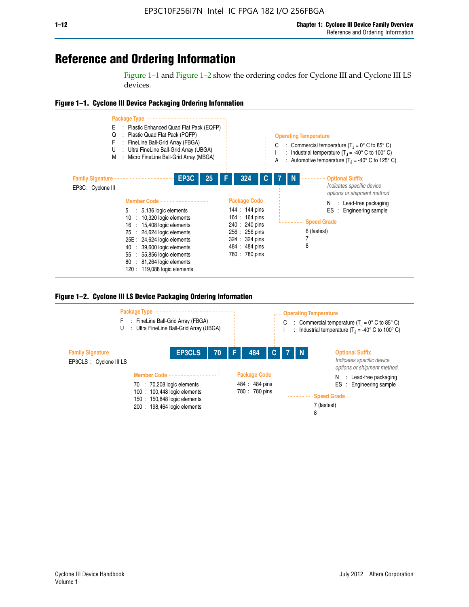## **Reference and Ordering Information**

Figure 1–1 and Figure 1–2 show the ordering codes for Cyclone III and Cyclone III LS devices.







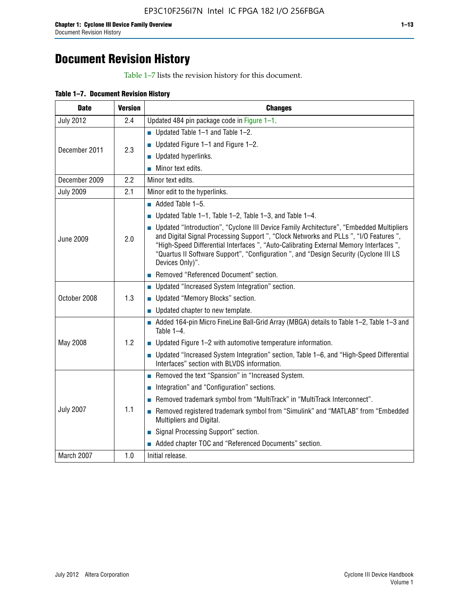## **Document Revision History**

Table 1–7 lists the revision history for this document.

|  | Table 1-7. Document Revision History |  |  |  |
|--|--------------------------------------|--|--|--|
|--|--------------------------------------|--|--|--|

| <b>Date</b>      | <b>Version</b> | <b>Changes</b>                                                                                                                                                                                                                                                                                                                                                                          |
|------------------|----------------|-----------------------------------------------------------------------------------------------------------------------------------------------------------------------------------------------------------------------------------------------------------------------------------------------------------------------------------------------------------------------------------------|
| <b>July 2012</b> | 2.4            | Updated 484 pin package code in Figure 1-1.                                                                                                                                                                                                                                                                                                                                             |
|                  |                | ■ Updated Table $1-1$ and Table $1-2$ .                                                                                                                                                                                                                                                                                                                                                 |
| December 2011    | 2.3            | ■ Updated Figure $1-1$ and Figure $1-2$ .                                                                                                                                                                                                                                                                                                                                               |
|                  |                | Updated hyperlinks.                                                                                                                                                                                                                                                                                                                                                                     |
|                  |                | Minor text edits.                                                                                                                                                                                                                                                                                                                                                                       |
| December 2009    | 2.2            | Minor text edits.                                                                                                                                                                                                                                                                                                                                                                       |
| <b>July 2009</b> | 2.1            | Minor edit to the hyperlinks.                                                                                                                                                                                                                                                                                                                                                           |
|                  |                | $\blacksquare$ Added Table 1-5.                                                                                                                                                                                                                                                                                                                                                         |
|                  |                | ■ Updated Table 1–1, Table 1–2, Table 1–3, and Table 1–4.                                                                                                                                                                                                                                                                                                                               |
| <b>June 2009</b> | 2.0            | • Updated "Introduction", "Cyclone III Device Family Architecture", "Embedded Multipliers<br>and Digital Signal Processing Support ", "Clock Networks and PLLs ", "I/O Features ",<br>"High-Speed Differential Interfaces ", "Auto-Calibrating External Memory Interfaces",<br>"Quartus II Software Support", "Configuration ", and "Design Security (Cyclone III LS<br>Devices Only)". |
|                  |                | Removed "Referenced Document" section.                                                                                                                                                                                                                                                                                                                                                  |
|                  |                | • Updated "Increased System Integration" section.                                                                                                                                                                                                                                                                                                                                       |
| October 2008     | 1.3            | Updated "Memory Blocks" section.                                                                                                                                                                                                                                                                                                                                                        |
|                  |                | • Updated chapter to new template.                                                                                                                                                                                                                                                                                                                                                      |
|                  |                | Added 164-pin Micro FineLine Ball-Grid Array (MBGA) details to Table 1-2, Table 1-3 and<br>Table $1-4$ .                                                                                                                                                                                                                                                                                |
| May 2008         | 1.2            | $\blacksquare$ Updated Figure 1-2 with automotive temperature information.                                                                                                                                                                                                                                                                                                              |
|                  |                | • Updated "Increased System Integration" section, Table 1-6, and "High-Speed Differential<br>Interfaces" section with BLVDS information.                                                                                                                                                                                                                                                |
|                  |                | Removed the text "Spansion" in "Increased System.                                                                                                                                                                                                                                                                                                                                       |
|                  |                | Integration" and "Configuration" sections.                                                                                                                                                                                                                                                                                                                                              |
| <b>July 2007</b> |                | Removed trademark symbol from "MultiTrack" in "MultiTrack Interconnect".                                                                                                                                                                                                                                                                                                                |
|                  | 1.1            | Removed registered trademark symbol from "Simulink" and "MATLAB" from "Embedded<br>Multipliers and Digital.                                                                                                                                                                                                                                                                             |
|                  |                | Signal Processing Support" section.                                                                                                                                                                                                                                                                                                                                                     |
|                  |                | Added chapter TOC and "Referenced Documents" section.                                                                                                                                                                                                                                                                                                                                   |
| March 2007       | 1.0            | Initial release.                                                                                                                                                                                                                                                                                                                                                                        |